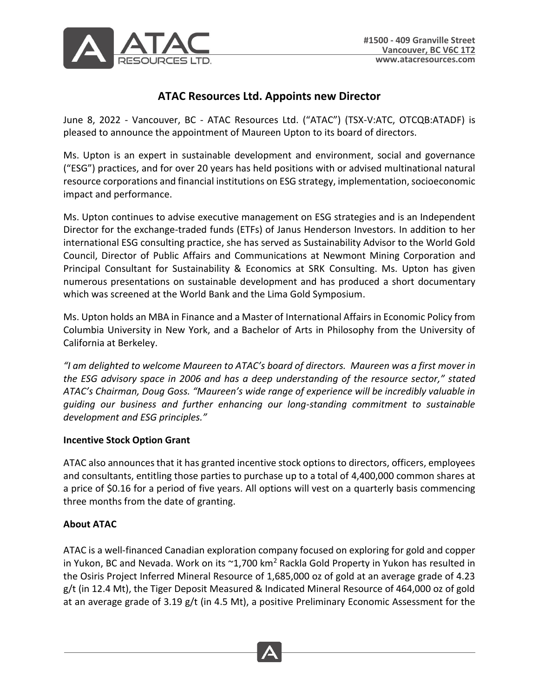

# **ATAC Resources Ltd. Appoints new Director**

June 8, 2022 - Vancouver, BC - ATAC Resources Ltd. ("ATAC") (TSX-V:ATC, OTCQB:ATADF) is pleased to announce the appointment of Maureen Upton to its board of directors.

Ms. Upton is an expert in sustainable development and environment, social and governance ("ESG") practices, and for over 20 years has held positions with or advised multinational natural resource corporations and financial institutions on ESG strategy, implementation, socioeconomic impact and performance.

Ms. Upton continues to advise executive management on ESG strategies and is an Independent Director for the exchange-traded funds (ETFs) of Janus Henderson Investors. In addition to her international ESG consulting practice, she has served as Sustainability Advisor to the World Gold Council, Director of Public Affairs and Communications at Newmont Mining Corporation and Principal Consultant for Sustainability & Economics at SRK Consulting. Ms. Upton has given numerous presentations on sustainable development and has produced a short documentary which was screened at the World Bank and the Lima Gold Symposium.

Ms. Upton holds an MBA in Finance and a Master of International Affairs in Economic Policy from Columbia University in New York, and a Bachelor of Arts in Philosophy from the University of California at Berkeley.

*"I am delighted to welcome Maureen to ATAC's board of directors. Maureen was a first mover in the ESG advisory space in 2006 and has a deep understanding of the resource sector," stated ATAC's Chairman, Doug Goss. "Maureen's wide range of experience will be incredibly valuable in guiding our business and further enhancing our long-standing commitment to sustainable development and ESG principles."*

## **Incentive Stock Option Grant**

ATAC also announces that it has granted incentive stock options to directors, officers, employees and consultants, entitling those parties to purchase up to a total of 4,400,000 common shares at a price of \$0.16 for a period of five years. All options will vest on a quarterly basis commencing three months from the date of granting.

## **About ATAC**

ATAC is a well-financed Canadian exploration company focused on exploring for gold and copper in Yukon, BC and Nevada. Work on its  $\gamma$ 1,700 km<sup>2</sup> Rackla Gold Property in Yukon has resulted in the Osiris Project Inferred Mineral Resource of 1,685,000 oz of gold at an average grade of 4.23 g/t (in 12.4 Mt), the Tiger Deposit Measured & Indicated Mineral Resource of 464,000 oz of gold at an average grade of 3.19 g/t (in 4.5 Mt), a positive Preliminary Economic Assessment for the